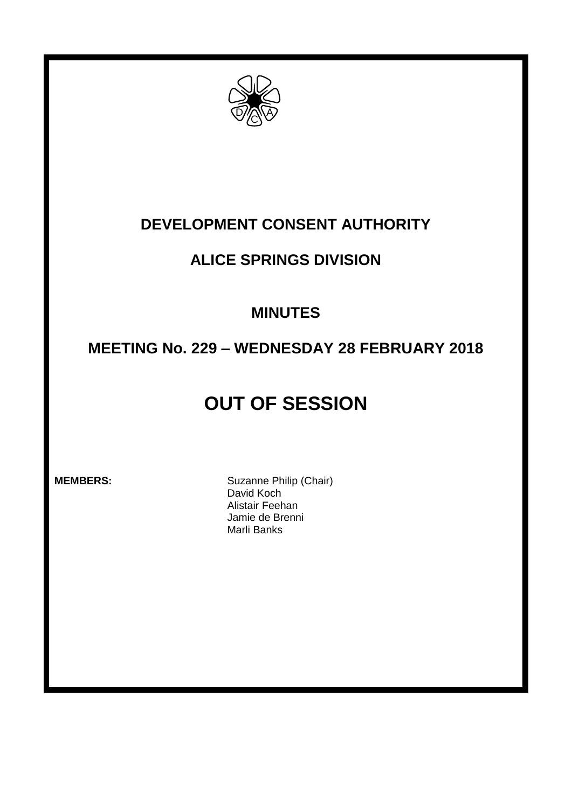

### **DEVELOPMENT CONSENT AUTHORITY**

### **ALICE SPRINGS DIVISION**

### **MINUTES**

## **MEETING No. 229 – WEDNESDAY 28 FEBRUARY 2018**

# **OUT OF SESSION**

**MEMBERS:** Suzanne Philip (Chair) David Koch Alistair Feehan Jamie de Brenni Marli Banks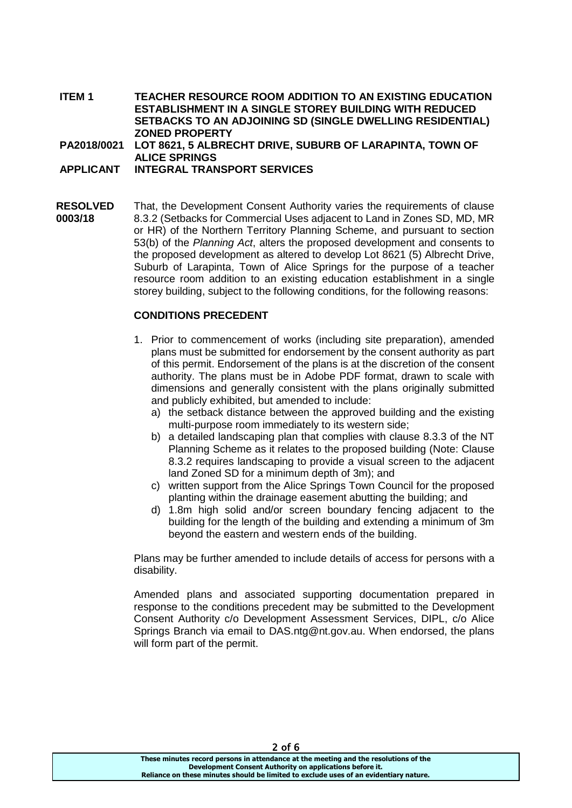**ITEM 1 TEACHER RESOURCE ROOM ADDITION TO AN EXISTING EDUCATION ESTABLISHMENT IN A SINGLE STOREY BUILDING WITH REDUCED SETBACKS TO AN ADJOINING SD (SINGLE DWELLING RESIDENTIAL) ZONED PROPERTY**

**PA2018/0021 LOT 8621, 5 ALBRECHT DRIVE, SUBURB OF LARAPINTA, TOWN OF ALICE SPRINGS**

**APPLICANT INTEGRAL TRANSPORT SERVICES**

**RESOLVED 0003/18** That, the Development Consent Authority varies the requirements of clause 8.3.2 (Setbacks for Commercial Uses adjacent to Land in Zones SD, MD, MR or HR) of the Northern Territory Planning Scheme, and pursuant to section 53(b) of the *Planning Act*, alters the proposed development and consents to the proposed development as altered to develop Lot 8621 (5) Albrecht Drive, Suburb of Larapinta, Town of Alice Springs for the purpose of a teacher resource room addition to an existing education establishment in a single storey building, subject to the following conditions, for the following reasons:

#### **CONDITIONS PRECEDENT**

- 1. Prior to commencement of works (including site preparation), amended plans must be submitted for endorsement by the consent authority as part of this permit. Endorsement of the plans is at the discretion of the consent authority. The plans must be in Adobe PDF format, drawn to scale with dimensions and generally consistent with the plans originally submitted and publicly exhibited, but amended to include:
	- a) the setback distance between the approved building and the existing multi-purpose room immediately to its western side;
	- b) a detailed landscaping plan that complies with clause 8.3.3 of the NT Planning Scheme as it relates to the proposed building (Note: Clause 8.3.2 requires landscaping to provide a visual screen to the adjacent land Zoned SD for a minimum depth of 3m); and
	- c) written support from the Alice Springs Town Council for the proposed planting within the drainage easement abutting the building; and
	- d) 1.8m high solid and/or screen boundary fencing adjacent to the building for the length of the building and extending a minimum of 3m beyond the eastern and western ends of the building.

Plans may be further amended to include details of access for persons with a disability.

Amended plans and associated supporting documentation prepared in response to the conditions precedent may be submitted to the Development Consent Authority c/o Development Assessment Services, DIPL, c/o Alice Springs Branch via email to DAS.ntg@nt.gov.au. When endorsed, the plans will form part of the permit.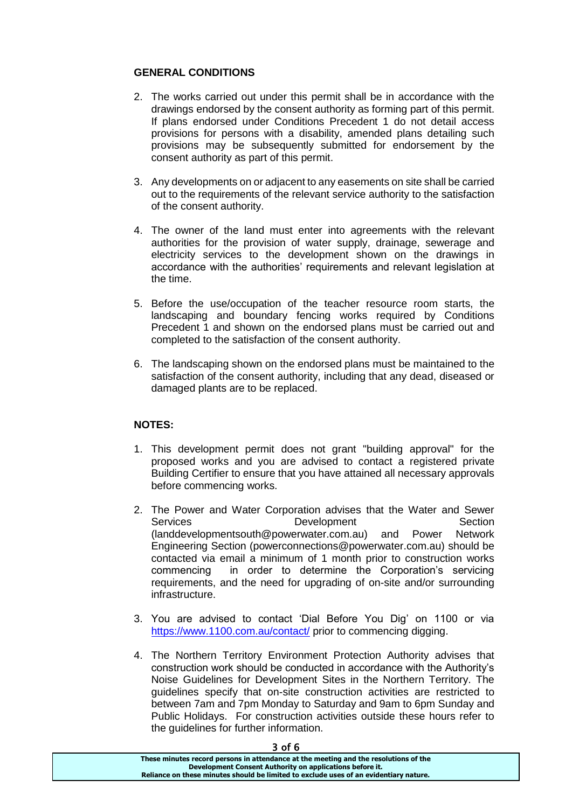### **GENERAL CONDITIONS**

- 2. The works carried out under this permit shall be in accordance with the drawings endorsed by the consent authority as forming part of this permit. If plans endorsed under Conditions Precedent 1 do not detail access provisions for persons with a disability, amended plans detailing such provisions may be subsequently submitted for endorsement by the consent authority as part of this permit.
- 3. Any developments on or adjacent to any easements on site shall be carried out to the requirements of the relevant service authority to the satisfaction of the consent authority.
- 4. The owner of the land must enter into agreements with the relevant authorities for the provision of water supply, drainage, sewerage and electricity services to the development shown on the drawings in accordance with the authorities' requirements and relevant legislation at the time.
- 5. Before the use/occupation of the teacher resource room starts, the landscaping and boundary fencing works required by Conditions Precedent 1 and shown on the endorsed plans must be carried out and completed to the satisfaction of the consent authority.
- 6. The landscaping shown on the endorsed plans must be maintained to the satisfaction of the consent authority, including that any dead, diseased or damaged plants are to be replaced.

#### **NOTES:**

- 1. This development permit does not grant "building approval" for the proposed works and you are advised to contact a registered private Building Certifier to ensure that you have attained all necessary approvals before commencing works.
- 2. The Power and Water Corporation advises that the Water and Sewer Services **Development** Section (landdevelopmentsouth@powerwater.com.au) and Power Network Engineering Section (powerconnections@powerwater.com.au) should be contacted via email a minimum of 1 month prior to construction works commencing in order to determine the Corporation's servicing requirements, and the need for upgrading of on-site and/or surrounding infrastructure.
- 3. You are advised to contact 'Dial Before You Dig' on 1100 or via <https://www.1100.com.au/contact/> prior to commencing digging.
- 4. The Northern Territory Environment Protection Authority advises that construction work should be conducted in accordance with the Authority's Noise Guidelines for Development Sites in the Northern Territory. The guidelines specify that on-site construction activities are restricted to between 7am and 7pm Monday to Saturday and 9am to 6pm Sunday and Public Holidays. For construction activities outside these hours refer to the guidelines for further information.

#### 3 of 6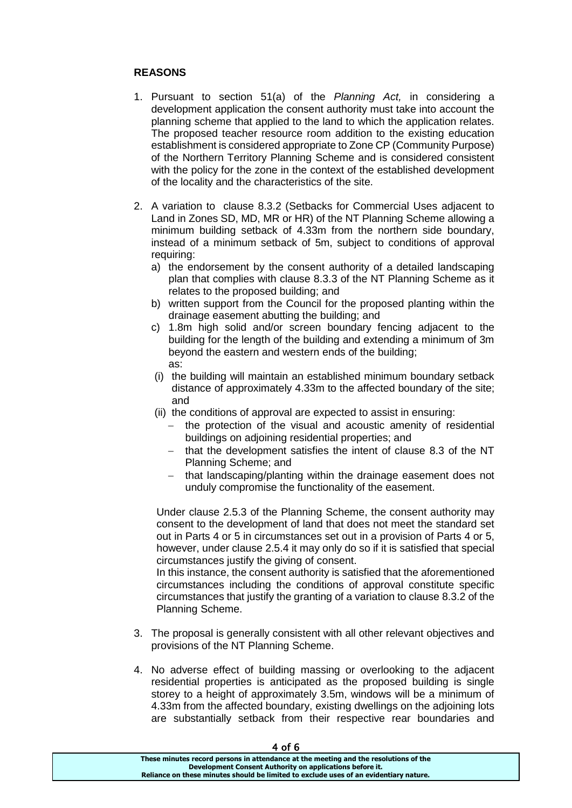### **REASONS**

- 1. Pursuant to section 51(a) of the *Planning Act,* in considering a development application the consent authority must take into account the planning scheme that applied to the land to which the application relates. The proposed teacher resource room addition to the existing education establishment is considered appropriate to Zone CP (Community Purpose) of the Northern Territory Planning Scheme and is considered consistent with the policy for the zone in the context of the established development of the locality and the characteristics of the site.
- 2. A variation to clause 8.3.2 (Setbacks for Commercial Uses adjacent to Land in Zones SD, MD, MR or HR) of the NT Planning Scheme allowing a minimum building setback of 4.33m from the northern side boundary, instead of a minimum setback of 5m, subject to conditions of approval requiring:
	- a) the endorsement by the consent authority of a detailed landscaping plan that complies with clause 8.3.3 of the NT Planning Scheme as it relates to the proposed building; and
	- b) written support from the Council for the proposed planting within the drainage easement abutting the building; and
	- c) 1.8m high solid and/or screen boundary fencing adjacent to the building for the length of the building and extending a minimum of 3m beyond the eastern and western ends of the building; as:
	- (i) the building will maintain an established minimum boundary setback distance of approximately 4.33m to the affected boundary of the site; and
	- (ii) the conditions of approval are expected to assist in ensuring:
		- the protection of the visual and acoustic amenity of residential buildings on adjoining residential properties; and
		- $-$  that the development satisfies the intent of clause 8.3 of the NT Planning Scheme; and
		- that landscaping/planting within the drainage easement does not unduly compromise the functionality of the easement.

Under clause 2.5.3 of the Planning Scheme, the consent authority may consent to the development of land that does not meet the standard set out in Parts 4 or 5 in circumstances set out in a provision of Parts 4 or 5, however, under clause 2.5.4 it may only do so if it is satisfied that special circumstances justify the giving of consent.

In this instance, the consent authority is satisfied that the aforementioned circumstances including the conditions of approval constitute specific circumstances that justify the granting of a variation to clause 8.3.2 of the Planning Scheme.

- 3. The proposal is generally consistent with all other relevant objectives and provisions of the NT Planning Scheme.
- 4. No adverse effect of building massing or overlooking to the adjacent residential properties is anticipated as the proposed building is single storey to a height of approximately 3.5m, windows will be a minimum of 4.33m from the affected boundary, existing dwellings on the adjoining lots are substantially setback from their respective rear boundaries and

| 7 UI U                                                                                |  |
|---------------------------------------------------------------------------------------|--|
| These minutes record persons in attendance at the meeting and the resolutions of the  |  |
| Development Consent Authority on applications before it.                              |  |
| Reliance on these minutes should be limited to exclude uses of an evidentiary nature. |  |
|                                                                                       |  |

 $4 of 6$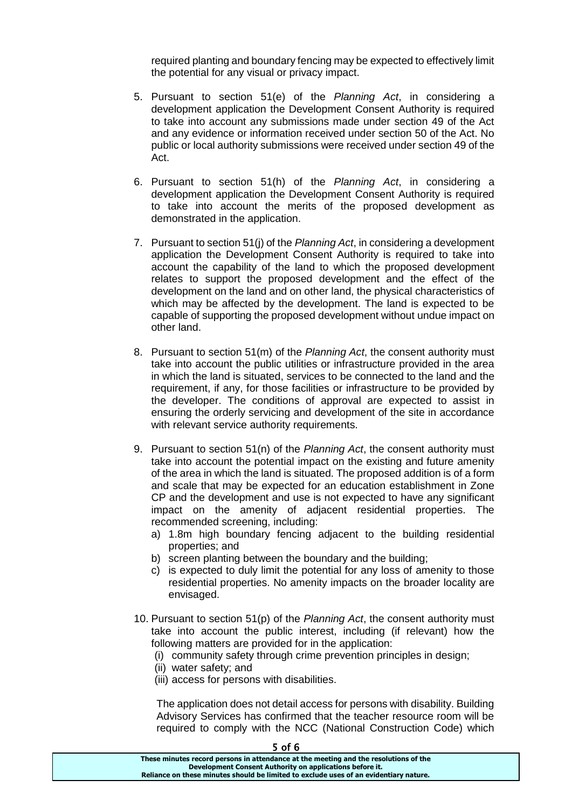required planting and boundary fencing may be expected to effectively limit the potential for any visual or privacy impact.

- 5. Pursuant to section 51(e) of the *Planning Act*, in considering a development application the Development Consent Authority is required to take into account any submissions made under section 49 of the Act and any evidence or information received under section 50 of the Act. No public or local authority submissions were received under section 49 of the Act.
- 6. Pursuant to section 51(h) of the *Planning Act*, in considering a development application the Development Consent Authority is required to take into account the merits of the proposed development as demonstrated in the application.
- 7. Pursuant to section 51(j) of the *Planning Act*, in considering a development application the Development Consent Authority is required to take into account the capability of the land to which the proposed development relates to support the proposed development and the effect of the development on the land and on other land, the physical characteristics of which may be affected by the development. The land is expected to be capable of supporting the proposed development without undue impact on other land.
- 8. Pursuant to section 51(m) of the *Planning Act*, the consent authority must take into account the public utilities or infrastructure provided in the area in which the land is situated, services to be connected to the land and the requirement, if any, for those facilities or infrastructure to be provided by the developer. The conditions of approval are expected to assist in ensuring the orderly servicing and development of the site in accordance with relevant service authority requirements.
- 9. Pursuant to section 51(n) of the *Planning Act*, the consent authority must take into account the potential impact on the existing and future amenity of the area in which the land is situated. The proposed addition is of a form and scale that may be expected for an education establishment in Zone CP and the development and use is not expected to have any significant impact on the amenity of adjacent residential properties. The recommended screening, including:
	- a) 1.8m high boundary fencing adjacent to the building residential properties; and
	- b) screen planting between the boundary and the building;
	- c) is expected to duly limit the potential for any loss of amenity to those residential properties. No amenity impacts on the broader locality are envisaged.
- 10. Pursuant to section 51(p) of the *Planning Act*, the consent authority must take into account the public interest, including (if relevant) how the following matters are provided for in the application:
	- (i) community safety through crime prevention principles in design;
	- (ii) water safety; and
	- (iii) access for persons with disabilities.

The application does not detail access for persons with disability. Building Advisory Services has confirmed that the teacher resource room will be required to comply with the NCC (National Construction Code) which

| ס זט כ                                                                                |  |
|---------------------------------------------------------------------------------------|--|
| These minutes record persons in attendance at the meeting and the resolutions of the  |  |
| Development Consent Authority on applications before it.                              |  |
| Reliance on these minutes should be limited to exclude uses of an evidentiary nature. |  |
|                                                                                       |  |